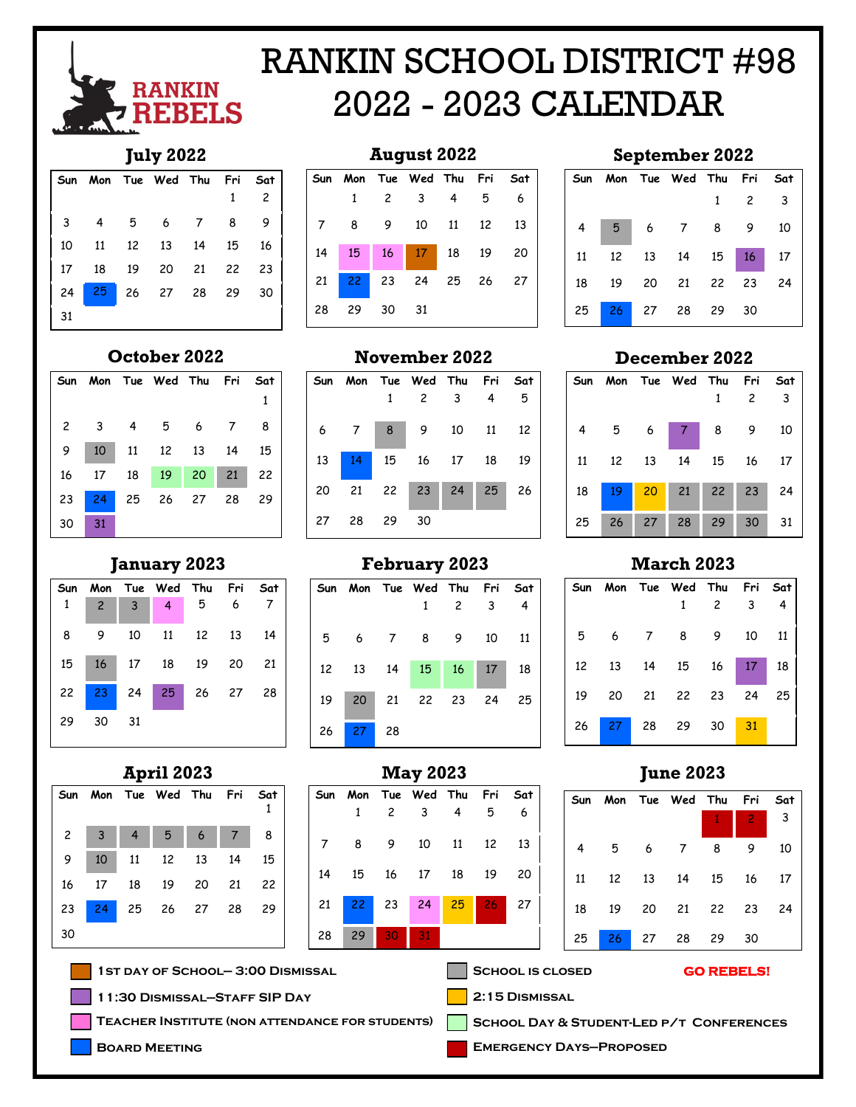

## RANKIN SCHOOL DISTRICT #98 2022 - 2023 CALENDAR

## **July 2022**

|    |                |    | Sun Mon Tue Wed Thu Fri |    |    | Sat            |
|----|----------------|----|-------------------------|----|----|----------------|
|    |                |    |                         |    |    | $\overline{c}$ |
| 3  | $\overline{4}$ | 5  | 6 <sup>6</sup>          |    | 8  |                |
| 10 | 11             |    | 12  13  14              |    | 15 | 16             |
| 17 | 18             | 19 | 20                      | 21 | 22 | 23             |
| 24 | 25             |    | 26 27 28 29             |    |    | 30             |
| 31 |                |    |                         |    |    |                |

## **August 2022**



|  | Sun Mon Tue Wed Thu Fri Sat |                     |  |
|--|-----------------------------|---------------------|--|
|  |                             | $1 \quad 2 \quad 3$ |  |
|  | 4 5 6 7 8 9 10              |                     |  |
|  | 11  12  13  14  15  16  17  |                     |  |
|  | 18 19 20 21 22 23 24        |                     |  |
|  | 25 26 27 28 29 30           |                     |  |

## **October 2022**

|    |    | Sun Mon Tue Wed Thu Fri Sat                               |  |  |
|----|----|-----------------------------------------------------------|--|--|
|    |    |                                                           |  |  |
|    |    | $2 \qquad 3 \qquad 4 \qquad 5 \qquad 6 \qquad 7 \qquad 8$ |  |  |
|    |    | 9 10 11 12 13 14 15                                       |  |  |
|    |    | 16 17 18 19 20 21 22                                      |  |  |
|    |    | 23 24 25 26 27 28 29                                      |  |  |
| 30 | 31 |                                                           |  |  |

## **Sun Mon Tue Wed Thu Fri Sat** 2 3 4 5 6 7 **January 2023**

|          |  |  | 8 9 10 11 12 13 14                |  |
|----------|--|--|-----------------------------------|--|
|          |  |  | 15   16   17   18   19   20   21  |  |
|          |  |  | 22 <mark>23</mark> 24 25 26 27 28 |  |
| 29 30 31 |  |  |                                   |  |

## **April 2023**



|    |    |     | Sun Mon Tue Wed Thu Fri |       |    | Sat |
|----|----|-----|-------------------------|-------|----|-----|
|    |    |     | $\overline{c}$          | 3     |    | 5   |
| 6  |    | 8   | 9                       | 10 11 |    | 12  |
| 13 | 14 |     | 15 16 17                |       | 18 | 19  |
| 20 | 21 |     | $22 \mid 23 \mid$       | 24    | 25 | 26  |
| 27 | 28 | -29 | 30                      |       |    |     |

**November 2022**

## **February 2023**



## **May 2023**

|    |              |                 | Sun Mon Tue Wed Thu Fri Sat |   |    |
|----|--------------|-----------------|-----------------------------|---|----|
|    |              | $\overline{c}$  | $\overline{\mathbf{3}}$     | 5 | 6  |
| 7  | $_{\rm 8}$   |                 | 9 10 11 12                  |   | 13 |
| 14 |              |                 | 15 16 17 18 19              |   | 20 |
|    | 21   22   23 |                 | 24 25 26 27                 |   |    |
| 28 | 29           | 30 <sup>2</sup> | 31                          |   |    |

## **September 2022**

| <b>December 2022</b> |
|----------------------|
|----------------------|

| Sun |                 |                 | Mon Tue Wed Thu Fri |                                             |                | Sat                     |
|-----|-----------------|-----------------|---------------------|---------------------------------------------|----------------|-------------------------|
|     |                 |                 |                     | 1                                           | $\overline{c}$ | $\overline{\mathbf{3}}$ |
| 4   | 5 6             |                 |                     | $\begin{array}{c cc} 7 & 8 & 9 \end{array}$ |                | 10                      |
| 11  | 12              | 13              | 14                  |                                             | 15 16          | 17                      |
| 18  | $19-19$         | 20 <sub>2</sub> |                     | $21 \quad 22 \quad 23$                      |                | 24                      |
| 25  | 26 <sub>2</sub> | 27              | 28                  | 29                                          | 30             | 31                      |

## **March 2023**

|  | Sun Mon Tue Wed Thu Fri Sat<br>1 2 3 4          |  |  |
|--|-------------------------------------------------|--|--|
|  | $5\quad 6\quad 7\quad 8\quad 9\quad 10\quad 11$ |  |  |
|  | 12 13 14 15 16 17 18                            |  |  |
|  | 19 20 21 22 23 24 25                            |  |  |
|  | 26 <mark>27</mark> 28 29 30 <mark>31</mark>     |  |  |

## **June 2023**

|  | Sun Mon Tue Wed Thu Fri Sat      |  |  |
|--|----------------------------------|--|--|
|  |                                  |  |  |
|  | 4 5 6 7 8 9 10                   |  |  |
|  | 11   12   13   14   15   16   17 |  |  |
|  | 18  19  20  21  22  23  24       |  |  |
|  | 25 26 27 28 29 30                |  |  |

### SCHOOL IS CLOSED **GO REBELS!**

**2:15 Dismissal**



**Emergency Days—Proposed**

**1st day of School— 3:00 Dismissal**

**11:30 Dismissal—Staff SIP Day**

**Teacher Institute (non attendance for students)**

**Board Meeting**